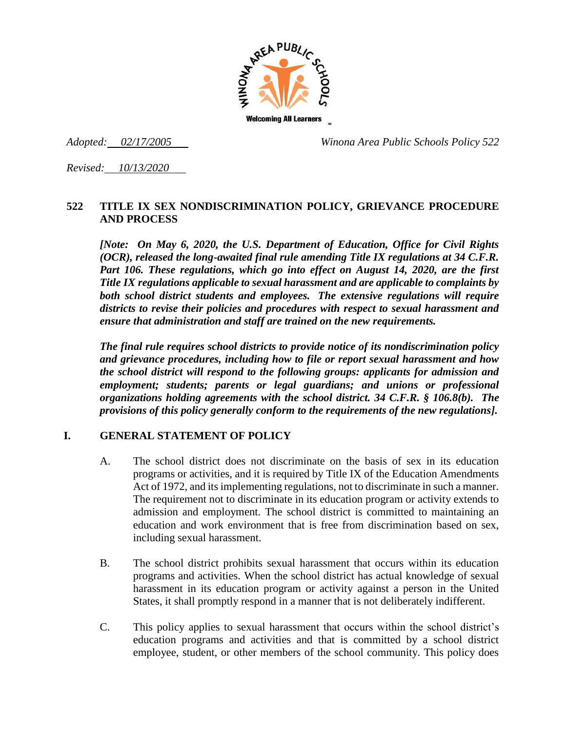

*Adopted: 02/17/2005 Winona Area Public Schools Policy 522*

*Revised: 10/13/2020* 

### **522 TITLE IX SEX NONDISCRIMINATION POLICY, GRIEVANCE PROCEDURE AND PROCESS**

*[Note: On May 6, 2020, the U.S. Department of Education, Office for Civil Rights (OCR), released the long-awaited final rule amending Title IX regulations at 34 C.F.R. Part 106. These regulations, which go into effect on August 14, 2020, are the first Title IX regulations applicable to sexual harassment and are applicable to complaints by both school district students and employees. The extensive regulations will require districts to revise their policies and procedures with respect to sexual harassment and ensure that administration and staff are trained on the new requirements.* 

*The final rule requires school districts to provide notice of its nondiscrimination policy and grievance procedures, including how to file or report sexual harassment and how the school district will respond to the following groups: applicants for admission and employment; students; parents or legal guardians; and unions or professional organizations holding agreements with the school district. 34 C.F.R. § 106.8(b). The provisions of this policy generally conform to the requirements of the new regulations].* 

### **I. GENERAL STATEMENT OF POLICY**

- A. The school district does not discriminate on the basis of sex in its education programs or activities, and it is required by Title IX of the Education Amendments Act of 1972, and its implementing regulations, not to discriminate in such a manner. The requirement not to discriminate in its education program or activity extends to admission and employment. The school district is committed to maintaining an education and work environment that is free from discrimination based on sex, including sexual harassment.
- B. The school district prohibits sexual harassment that occurs within its education programs and activities. When the school district has actual knowledge of sexual harassment in its education program or activity against a person in the United States, it shall promptly respond in a manner that is not deliberately indifferent.
- C. This policy applies to sexual harassment that occurs within the school district's education programs and activities and that is committed by a school district employee, student, or other members of the school community. This policy does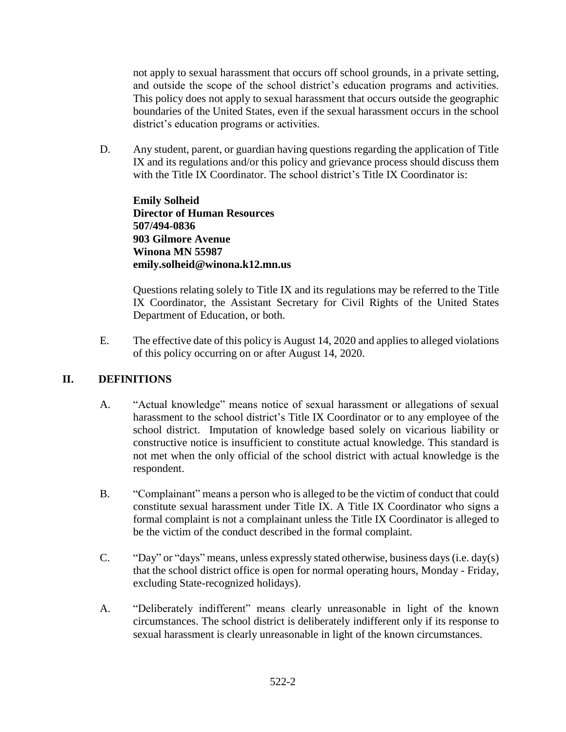not apply to sexual harassment that occurs off school grounds, in a private setting, and outside the scope of the school district's education programs and activities. This policy does not apply to sexual harassment that occurs outside the geographic boundaries of the United States, even if the sexual harassment occurs in the school district's education programs or activities.

D. Any student, parent, or guardian having questions regarding the application of Title IX and its regulations and/or this policy and grievance process should discuss them with the Title IX Coordinator. The school district's Title IX Coordinator is:

**Emily Solheid Director of Human Resources 507/494-0836 903 Gilmore Avenue Winona MN 55987 emily.solheid@winona.k12.mn.us**

Questions relating solely to Title IX and its regulations may be referred to the Title IX Coordinator, the Assistant Secretary for Civil Rights of the United States Department of Education, or both.

E. The effective date of this policy is August 14, 2020 and applies to alleged violations of this policy occurring on or after August 14, 2020.

# **II. DEFINITIONS**

- A. "Actual knowledge" means notice of sexual harassment or allegations of sexual harassment to the school district's Title IX Coordinator or to any employee of the school district. Imputation of knowledge based solely on vicarious liability or constructive notice is insufficient to constitute actual knowledge. This standard is not met when the only official of the school district with actual knowledge is the respondent.
- B. "Complainant" means a person who is alleged to be the victim of conduct that could constitute sexual harassment under Title IX. A Title IX Coordinator who signs a formal complaint is not a complainant unless the Title IX Coordinator is alleged to be the victim of the conduct described in the formal complaint.
- C. "Day" or "days" means, unless expressly stated otherwise, business days (i.e. day(s) that the school district office is open for normal operating hours, Monday - Friday, excluding State-recognized holidays).
- A. "Deliberately indifferent" means clearly unreasonable in light of the known circumstances. The school district is deliberately indifferent only if its response to sexual harassment is clearly unreasonable in light of the known circumstances.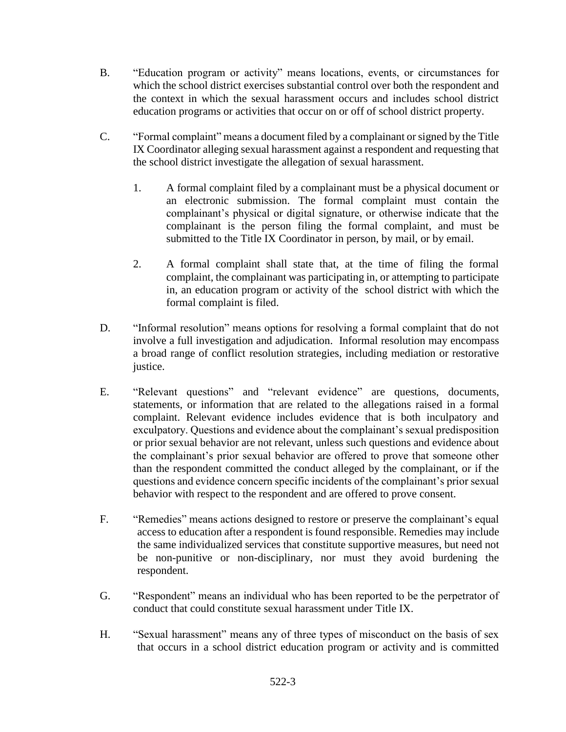- B. "Education program or activity" means locations, events, or circumstances for which the school district exercises substantial control over both the respondent and the context in which the sexual harassment occurs and includes school district education programs or activities that occur on or off of school district property.
- C. "Formal complaint" means a document filed by a complainant or signed by the Title IX Coordinator alleging sexual harassment against a respondent and requesting that the school district investigate the allegation of sexual harassment.
	- 1. A formal complaint filed by a complainant must be a physical document or an electronic submission. The formal complaint must contain the complainant's physical or digital signature, or otherwise indicate that the complainant is the person filing the formal complaint, and must be submitted to the Title IX Coordinator in person, by mail, or by email.
	- 2. A formal complaint shall state that, at the time of filing the formal complaint, the complainant was participating in, or attempting to participate in, an education program or activity of the school district with which the formal complaint is filed.
- D. "Informal resolution" means options for resolving a formal complaint that do not involve a full investigation and adjudication. Informal resolution may encompass a broad range of conflict resolution strategies, including mediation or restorative justice.
- E. "Relevant questions" and "relevant evidence" are questions, documents, statements, or information that are related to the allegations raised in a formal complaint. Relevant evidence includes evidence that is both inculpatory and exculpatory. Questions and evidence about the complainant's sexual predisposition or prior sexual behavior are not relevant, unless such questions and evidence about the complainant's prior sexual behavior are offered to prove that someone other than the respondent committed the conduct alleged by the complainant, or if the questions and evidence concern specific incidents of the complainant's prior sexual behavior with respect to the respondent and are offered to prove consent.
- F. "Remedies" means actions designed to restore or preserve the complainant's equal access to education after a respondent is found responsible. Remedies may include the same individualized services that constitute supportive measures, but need not be non-punitive or non-disciplinary, nor must they avoid burdening the respondent.
- G. "Respondent" means an individual who has been reported to be the perpetrator of conduct that could constitute sexual harassment under Title IX.
- H. "Sexual harassment" means any of three types of misconduct on the basis of sex that occurs in a school district education program or activity and is committed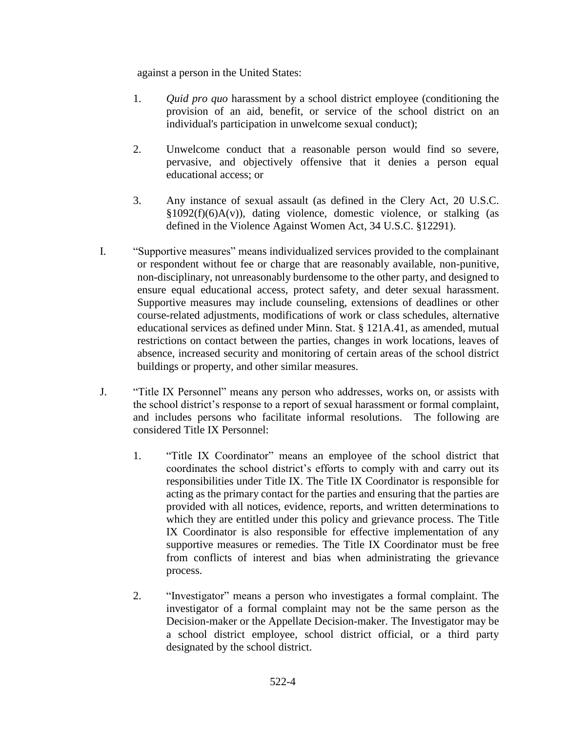against a person in the United States:

- 1. *Quid pro quo* harassment by a school district employee (conditioning the provision of an aid, benefit, or service of the school district on an individual's participation in unwelcome sexual conduct);
- 2. Unwelcome conduct that a reasonable person would find so severe, pervasive, and objectively offensive that it denies a person equal educational access; or
- 3. Any instance of sexual assault (as defined in the Clery Act, 20 U.S.C.  $§1092(f)(6)A(v)$ , dating violence, domestic violence, or stalking (as defined in the Violence Against Women Act, 34 U.S.C. §12291).
- I. "Supportive measures" means individualized services provided to the complainant or respondent without fee or charge that are reasonably available, non-punitive, non-disciplinary, not unreasonably burdensome to the other party, and designed to ensure equal educational access, protect safety, and deter sexual harassment. Supportive measures may include counseling, extensions of deadlines or other course-related adjustments, modifications of work or class schedules, alternative educational services as defined under Minn. Stat. § 121A.41, as amended, mutual restrictions on contact between the parties, changes in work locations, leaves of absence, increased security and monitoring of certain areas of the school district buildings or property, and other similar measures.
- J. "Title IX Personnel" means any person who addresses, works on, or assists with the school district's response to a report of sexual harassment or formal complaint, and includes persons who facilitate informal resolutions. The following are considered Title IX Personnel:
	- 1. "Title IX Coordinator" means an employee of the school district that coordinates the school district's efforts to comply with and carry out its responsibilities under Title IX. The Title IX Coordinator is responsible for acting as the primary contact for the parties and ensuring that the parties are provided with all notices, evidence, reports, and written determinations to which they are entitled under this policy and grievance process. The Title IX Coordinator is also responsible for effective implementation of any supportive measures or remedies. The Title IX Coordinator must be free from conflicts of interest and bias when administrating the grievance process.
	- 2. "Investigator" means a person who investigates a formal complaint. The investigator of a formal complaint may not be the same person as the Decision-maker or the Appellate Decision-maker. The Investigator may be a school district employee, school district official, or a third party designated by the school district.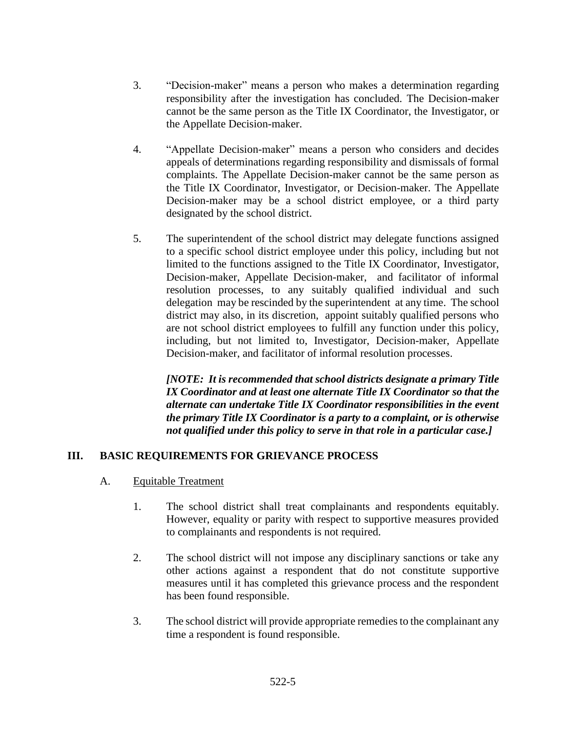- 3. "Decision-maker" means a person who makes a determination regarding responsibility after the investigation has concluded. The Decision-maker cannot be the same person as the Title IX Coordinator, the Investigator, or the Appellate Decision-maker.
- 4. "Appellate Decision-maker" means a person who considers and decides appeals of determinations regarding responsibility and dismissals of formal complaints. The Appellate Decision-maker cannot be the same person as the Title IX Coordinator, Investigator, or Decision-maker. The Appellate Decision-maker may be a school district employee, or a third party designated by the school district.
- 5. The superintendent of the school district may delegate functions assigned to a specific school district employee under this policy, including but not limited to the functions assigned to the Title IX Coordinator, Investigator, Decision-maker, Appellate Decision-maker, and facilitator of informal resolution processes, to any suitably qualified individual and such delegation may be rescinded by the superintendent at any time. The school district may also, in its discretion, appoint suitably qualified persons who are not school district employees to fulfill any function under this policy, including, but not limited to, Investigator, Decision-maker, Appellate Decision-maker, and facilitator of informal resolution processes.

*[NOTE: It is recommended that school districts designate a primary Title IX Coordinator and at least one alternate Title IX Coordinator so that the alternate can undertake Title IX Coordinator responsibilities in the event the primary Title IX Coordinator is a party to a complaint, or is otherwise not qualified under this policy to serve in that role in a particular case.]*

### **III. BASIC REQUIREMENTS FOR GRIEVANCE PROCESS**

- A. Equitable Treatment
	- 1. The school district shall treat complainants and respondents equitably. However, equality or parity with respect to supportive measures provided to complainants and respondents is not required.
	- 2. The school district will not impose any disciplinary sanctions or take any other actions against a respondent that do not constitute supportive measures until it has completed this grievance process and the respondent has been found responsible.
	- 3. The school district will provide appropriate remedies to the complainant any time a respondent is found responsible.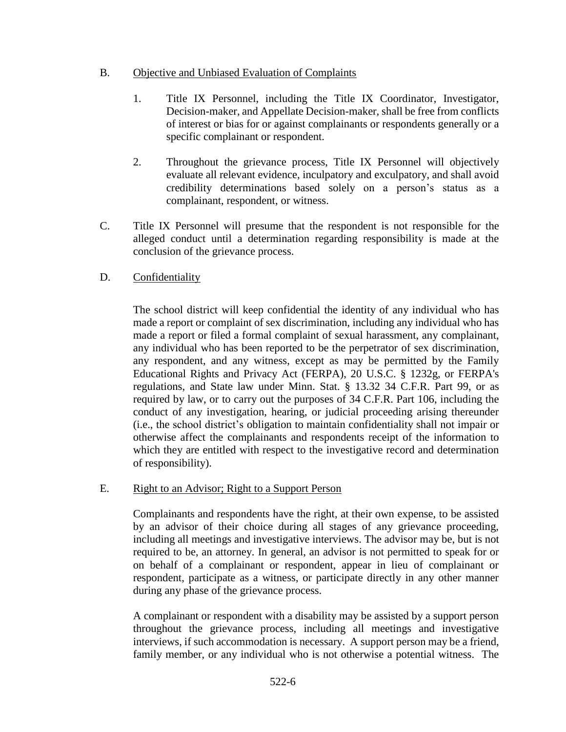#### B. Objective and Unbiased Evaluation of Complaints

- 1. Title IX Personnel, including the Title IX Coordinator, Investigator, Decision-maker, and Appellate Decision-maker, shall be free from conflicts of interest or bias for or against complainants or respondents generally or a specific complainant or respondent.
- 2. Throughout the grievance process, Title IX Personnel will objectively evaluate all relevant evidence, inculpatory and exculpatory, and shall avoid credibility determinations based solely on a person's status as a complainant, respondent, or witness.
- C. Title IX Personnel will presume that the respondent is not responsible for the alleged conduct until a determination regarding responsibility is made at the conclusion of the grievance process.

### D. Confidentiality

The school district will keep confidential the identity of any individual who has made a report or complaint of sex discrimination, including any individual who has made a report or filed a formal complaint of sexual harassment, any complainant, any individual who has been reported to be the perpetrator of sex discrimination, any respondent, and any witness, except as may be permitted by the Family Educational Rights and Privacy Act (FERPA), 20 U.S.C. § 1232g, or FERPA's regulations, and State law under Minn. Stat. § 13.32 34 C.F.R. Part 99, or as required by law, or to carry out the purposes of 34 C.F.R. Part 106, including the conduct of any investigation, hearing, or judicial proceeding arising thereunder (i.e., the school district's obligation to maintain confidentiality shall not impair or otherwise affect the complainants and respondents receipt of the information to which they are entitled with respect to the investigative record and determination of responsibility).

### E. Right to an Advisor; Right to a Support Person

Complainants and respondents have the right, at their own expense, to be assisted by an advisor of their choice during all stages of any grievance proceeding, including all meetings and investigative interviews. The advisor may be, but is not required to be, an attorney. In general, an advisor is not permitted to speak for or on behalf of a complainant or respondent, appear in lieu of complainant or respondent, participate as a witness, or participate directly in any other manner during any phase of the grievance process.

A complainant or respondent with a disability may be assisted by a support person throughout the grievance process, including all meetings and investigative interviews, if such accommodation is necessary. A support person may be a friend, family member, or any individual who is not otherwise a potential witness. The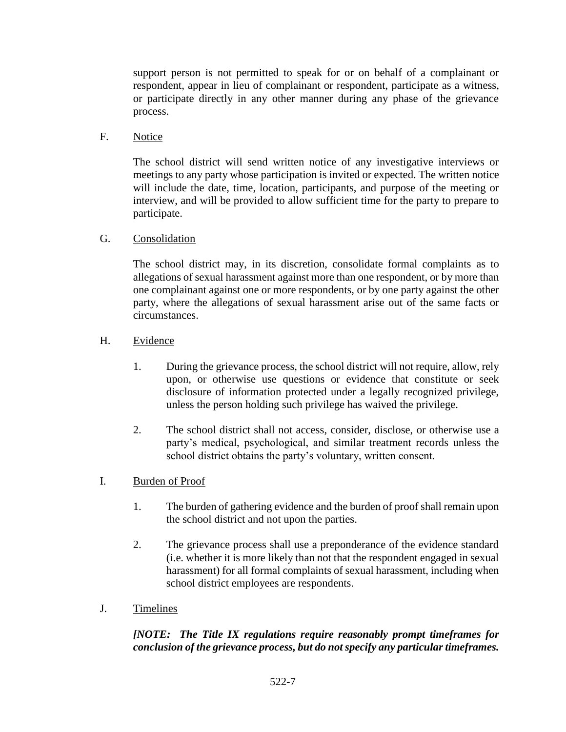support person is not permitted to speak for or on behalf of a complainant or respondent, appear in lieu of complainant or respondent, participate as a witness, or participate directly in any other manner during any phase of the grievance process.

### F. Notice

The school district will send written notice of any investigative interviews or meetings to any party whose participation is invited or expected. The written notice will include the date, time, location, participants, and purpose of the meeting or interview, and will be provided to allow sufficient time for the party to prepare to participate.

### G. Consolidation

The school district may, in its discretion, consolidate formal complaints as to allegations of sexual harassment against more than one respondent, or by more than one complainant against one or more respondents, or by one party against the other party, where the allegations of sexual harassment arise out of the same facts or circumstances.

### H. Evidence

- 1. During the grievance process, the school district will not require, allow, rely upon, or otherwise use questions or evidence that constitute or seek disclosure of information protected under a legally recognized privilege, unless the person holding such privilege has waived the privilege.
- 2. The school district shall not access, consider, disclose, or otherwise use a party's medical, psychological, and similar treatment records unless the school district obtains the party's voluntary, written consent.

# I. Burden of Proof

- 1. The burden of gathering evidence and the burden of proof shall remain upon the school district and not upon the parties.
- 2. The grievance process shall use a preponderance of the evidence standard (i.e. whether it is more likely than not that the respondent engaged in sexual harassment) for all formal complaints of sexual harassment, including when school district employees are respondents.
- J. Timelines

# *[NOTE: The Title IX regulations require reasonably prompt timeframes for conclusion of the grievance process, but do not specify any particular timeframes.*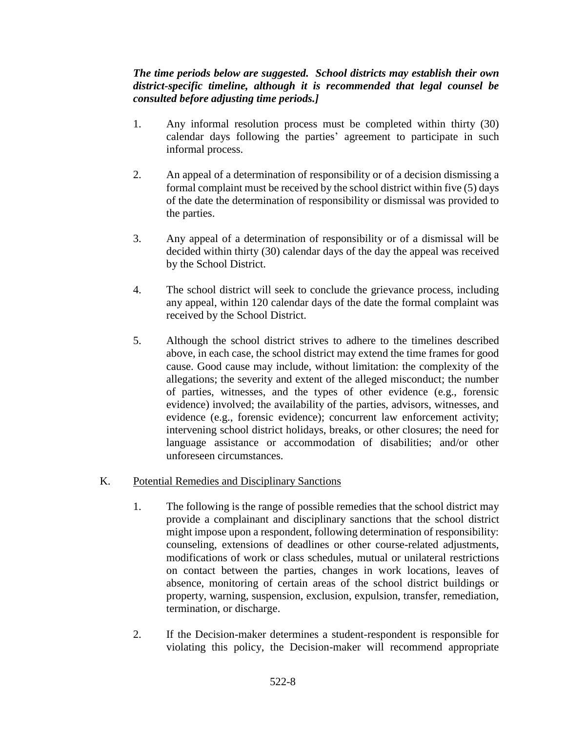### *The time periods below are suggested. School districts may establish their own district-specific timeline, although it is recommended that legal counsel be consulted before adjusting time periods.]*

- 1. Any informal resolution process must be completed within thirty (30) calendar days following the parties' agreement to participate in such informal process.
- 2. An appeal of a determination of responsibility or of a decision dismissing a formal complaint must be received by the school district within five (5) days of the date the determination of responsibility or dismissal was provided to the parties.
- 3. Any appeal of a determination of responsibility or of a dismissal will be decided within thirty (30) calendar days of the day the appeal was received by the School District.
- 4. The school district will seek to conclude the grievance process, including any appeal, within 120 calendar days of the date the formal complaint was received by the School District.
- 5. Although the school district strives to adhere to the timelines described above, in each case, the school district may extend the time frames for good cause. Good cause may include, without limitation: the complexity of the allegations; the severity and extent of the alleged misconduct; the number of parties, witnesses, and the types of other evidence (e.g., forensic evidence) involved; the availability of the parties, advisors, witnesses, and evidence (e.g., forensic evidence); concurrent law enforcement activity; intervening school district holidays, breaks, or other closures; the need for language assistance or accommodation of disabilities; and/or other unforeseen circumstances.

### K. Potential Remedies and Disciplinary Sanctions

- 1. The following is the range of possible remedies that the school district may provide a complainant and disciplinary sanctions that the school district might impose upon a respondent, following determination of responsibility: counseling, extensions of deadlines or other course-related adjustments, modifications of work or class schedules, mutual or unilateral restrictions on contact between the parties, changes in work locations, leaves of absence, monitoring of certain areas of the school district buildings or property, warning, suspension, exclusion, expulsion, transfer, remediation, termination, or discharge.
- 2. If the Decision-maker determines a student-respondent is responsible for violating this policy, the Decision-maker will recommend appropriate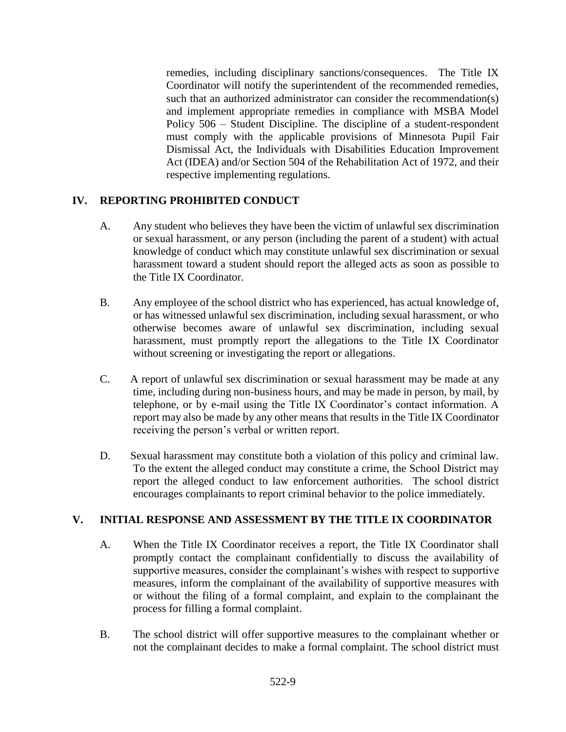remedies, including disciplinary sanctions/consequences. The Title IX Coordinator will notify the superintendent of the recommended remedies, such that an authorized administrator can consider the recommendation(s) and implement appropriate remedies in compliance with MSBA Model Policy 506 – Student Discipline. The discipline of a student-respondent must comply with the applicable provisions of Minnesota Pupil Fair Dismissal Act, the Individuals with Disabilities Education Improvement Act (IDEA) and/or Section 504 of the Rehabilitation Act of 1972, and their respective implementing regulations.

# **IV. REPORTING PROHIBITED CONDUCT**

- A. Any student who believes they have been the victim of unlawful sex discrimination or sexual harassment, or any person (including the parent of a student) with actual knowledge of conduct which may constitute unlawful sex discrimination or sexual harassment toward a student should report the alleged acts as soon as possible to the Title IX Coordinator.
- B. Any employee of the school district who has experienced, has actual knowledge of, or has witnessed unlawful sex discrimination, including sexual harassment, or who otherwise becomes aware of unlawful sex discrimination, including sexual harassment, must promptly report the allegations to the Title IX Coordinator without screening or investigating the report or allegations.
- C. A report of unlawful sex discrimination or sexual harassment may be made at any time, including during non-business hours, and may be made in person, by mail, by telephone, or by e-mail using the Title IX Coordinator's contact information. A report may also be made by any other means that results in the Title IX Coordinator receiving the person's verbal or written report.
- D. Sexual harassment may constitute both a violation of this policy and criminal law. To the extent the alleged conduct may constitute a crime, the School District may report the alleged conduct to law enforcement authorities. The school district encourages complainants to report criminal behavior to the police immediately.

# **V. INITIAL RESPONSE AND ASSESSMENT BY THE TITLE IX COORDINATOR**

- A. When the Title IX Coordinator receives a report, the Title IX Coordinator shall promptly contact the complainant confidentially to discuss the availability of supportive measures, consider the complainant's wishes with respect to supportive measures, inform the complainant of the availability of supportive measures with or without the filing of a formal complaint, and explain to the complainant the process for filling a formal complaint.
- B. The school district will offer supportive measures to the complainant whether or not the complainant decides to make a formal complaint. The school district must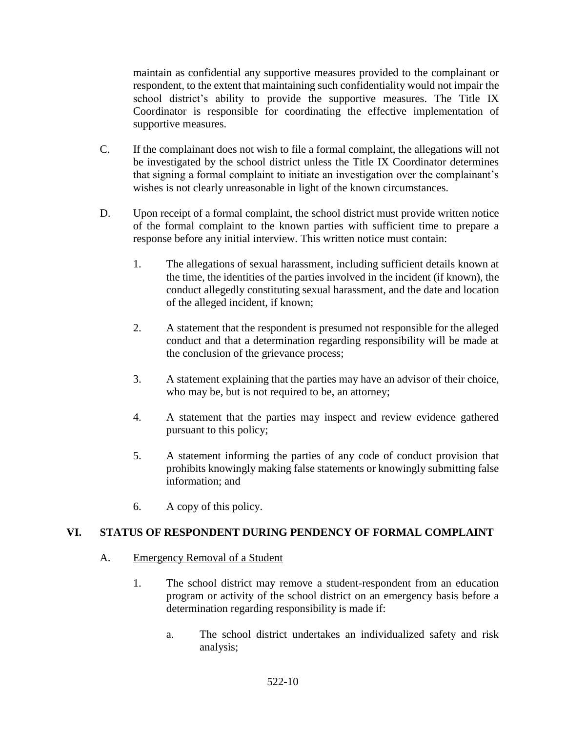maintain as confidential any supportive measures provided to the complainant or respondent, to the extent that maintaining such confidentiality would not impair the school district's ability to provide the supportive measures. The Title IX Coordinator is responsible for coordinating the effective implementation of supportive measures.

- C. If the complainant does not wish to file a formal complaint, the allegations will not be investigated by the school district unless the Title IX Coordinator determines that signing a formal complaint to initiate an investigation over the complainant's wishes is not clearly unreasonable in light of the known circumstances.
- D. Upon receipt of a formal complaint, the school district must provide written notice of the formal complaint to the known parties with sufficient time to prepare a response before any initial interview. This written notice must contain:
	- 1. The allegations of sexual harassment, including sufficient details known at the time, the identities of the parties involved in the incident (if known), the conduct allegedly constituting sexual harassment, and the date and location of the alleged incident, if known;
	- 2. A statement that the respondent is presumed not responsible for the alleged conduct and that a determination regarding responsibility will be made at the conclusion of the grievance process;
	- 3. A statement explaining that the parties may have an advisor of their choice, who may be, but is not required to be, an attorney;
	- 4. A statement that the parties may inspect and review evidence gathered pursuant to this policy;
	- 5. A statement informing the parties of any code of conduct provision that prohibits knowingly making false statements or knowingly submitting false information; and
	- 6. A copy of this policy.

### **VI. STATUS OF RESPONDENT DURING PENDENCY OF FORMAL COMPLAINT**

### A. Emergency Removal of a Student

- 1. The school district may remove a student-respondent from an education program or activity of the school district on an emergency basis before a determination regarding responsibility is made if:
	- a. The school district undertakes an individualized safety and risk analysis;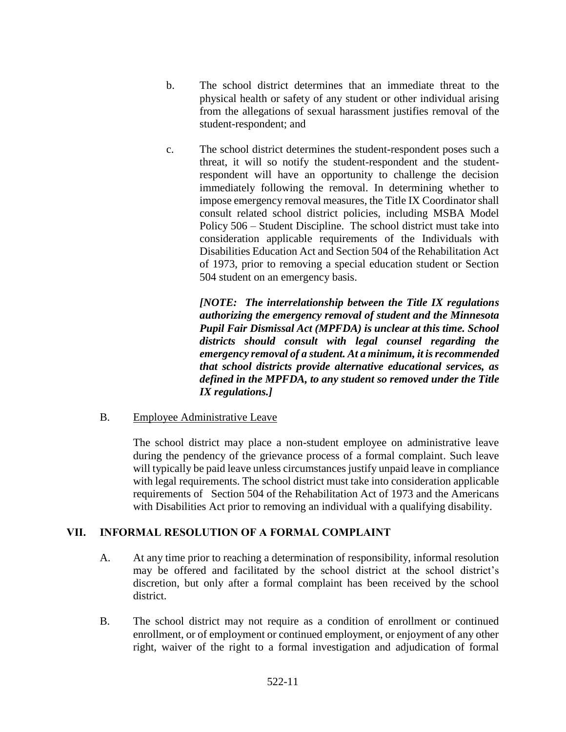- b. The school district determines that an immediate threat to the physical health or safety of any student or other individual arising from the allegations of sexual harassment justifies removal of the student-respondent; and
- c. The school district determines the student-respondent poses such a threat, it will so notify the student-respondent and the studentrespondent will have an opportunity to challenge the decision immediately following the removal. In determining whether to impose emergency removal measures, the Title IX Coordinator shall consult related school district policies, including MSBA Model Policy 506 – Student Discipline. The school district must take into consideration applicable requirements of the Individuals with Disabilities Education Act and Section 504 of the Rehabilitation Act of 1973, prior to removing a special education student or Section 504 student on an emergency basis.

*[NOTE: The interrelationship between the Title IX regulations authorizing the emergency removal of student and the Minnesota Pupil Fair Dismissal Act (MPFDA) is unclear at this time. School districts should consult with legal counsel regarding the emergency removal of a student. At a minimum, it is recommended that school districts provide alternative educational services, as defined in the MPFDA, to any student so removed under the Title IX regulations.]* 

B. Employee Administrative Leave

The school district may place a non-student employee on administrative leave during the pendency of the grievance process of a formal complaint. Such leave will typically be paid leave unless circumstances justify unpaid leave in compliance with legal requirements. The school district must take into consideration applicable requirements of Section 504 of the Rehabilitation Act of 1973 and the Americans with Disabilities Act prior to removing an individual with a qualifying disability.

### **VII. INFORMAL RESOLUTION OF A FORMAL COMPLAINT**

- A. At any time prior to reaching a determination of responsibility, informal resolution may be offered and facilitated by the school district at the school district's discretion, but only after a formal complaint has been received by the school district.
- B. The school district may not require as a condition of enrollment or continued enrollment, or of employment or continued employment, or enjoyment of any other right, waiver of the right to a formal investigation and adjudication of formal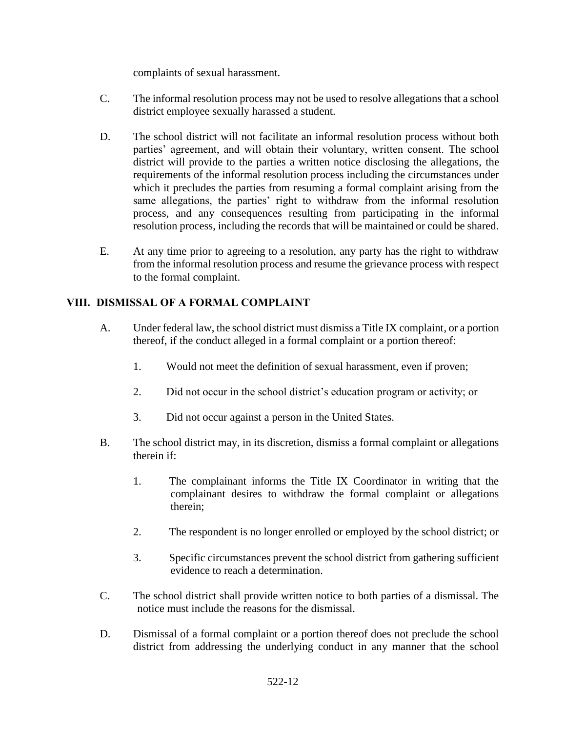complaints of sexual harassment.

- C. The informal resolution process may not be used to resolve allegations that a school district employee sexually harassed a student.
- D. The school district will not facilitate an informal resolution process without both parties' agreement, and will obtain their voluntary, written consent. The school district will provide to the parties a written notice disclosing the allegations, the requirements of the informal resolution process including the circumstances under which it precludes the parties from resuming a formal complaint arising from the same allegations, the parties' right to withdraw from the informal resolution process, and any consequences resulting from participating in the informal resolution process, including the records that will be maintained or could be shared.
- E. At any time prior to agreeing to a resolution, any party has the right to withdraw from the informal resolution process and resume the grievance process with respect to the formal complaint.

# **VIII. DISMISSAL OF A FORMAL COMPLAINT**

- A. Under federal law, the school district must dismiss a Title IX complaint, or a portion thereof, if the conduct alleged in a formal complaint or a portion thereof:
	- 1. Would not meet the definition of sexual harassment, even if proven;
	- 2. Did not occur in the school district's education program or activity; or
	- 3. Did not occur against a person in the United States.
- B. The school district may, in its discretion, dismiss a formal complaint or allegations therein if:
	- 1. The complainant informs the Title IX Coordinator in writing that the complainant desires to withdraw the formal complaint or allegations therein;
	- 2. The respondent is no longer enrolled or employed by the school district; or
	- 3. Specific circumstances prevent the school district from gathering sufficient evidence to reach a determination.
- C. The school district shall provide written notice to both parties of a dismissal. The notice must include the reasons for the dismissal.
- D. Dismissal of a formal complaint or a portion thereof does not preclude the school district from addressing the underlying conduct in any manner that the school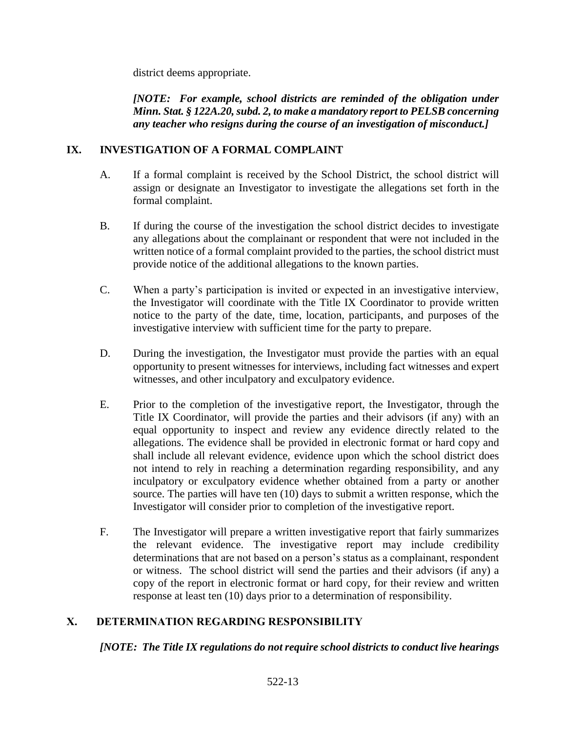district deems appropriate.

*[NOTE: For example, school districts are reminded of the obligation under Minn. Stat. § 122A.20, subd. 2, to make a mandatory report to PELSB concerning any teacher who resigns during the course of an investigation of misconduct.]*

### **IX. INVESTIGATION OF A FORMAL COMPLAINT**

- A. If a formal complaint is received by the School District, the school district will assign or designate an Investigator to investigate the allegations set forth in the formal complaint.
- B. If during the course of the investigation the school district decides to investigate any allegations about the complainant or respondent that were not included in the written notice of a formal complaint provided to the parties, the school district must provide notice of the additional allegations to the known parties.
- C. When a party's participation is invited or expected in an investigative interview, the Investigator will coordinate with the Title IX Coordinator to provide written notice to the party of the date, time, location, participants, and purposes of the investigative interview with sufficient time for the party to prepare.
- D. During the investigation, the Investigator must provide the parties with an equal opportunity to present witnesses for interviews, including fact witnesses and expert witnesses, and other inculpatory and exculpatory evidence.
- E. Prior to the completion of the investigative report, the Investigator, through the Title IX Coordinator, will provide the parties and their advisors (if any) with an equal opportunity to inspect and review any evidence directly related to the allegations. The evidence shall be provided in electronic format or hard copy and shall include all relevant evidence, evidence upon which the school district does not intend to rely in reaching a determination regarding responsibility, and any inculpatory or exculpatory evidence whether obtained from a party or another source. The parties will have ten (10) days to submit a written response, which the Investigator will consider prior to completion of the investigative report.
- F. The Investigator will prepare a written investigative report that fairly summarizes the relevant evidence. The investigative report may include credibility determinations that are not based on a person's status as a complainant, respondent or witness. The school district will send the parties and their advisors (if any) a copy of the report in electronic format or hard copy, for their review and written response at least ten (10) days prior to a determination of responsibility.

# **X. DETERMINATION REGARDING RESPONSIBILITY**

*[NOTE: The Title IX regulations do not require school districts to conduct live hearings*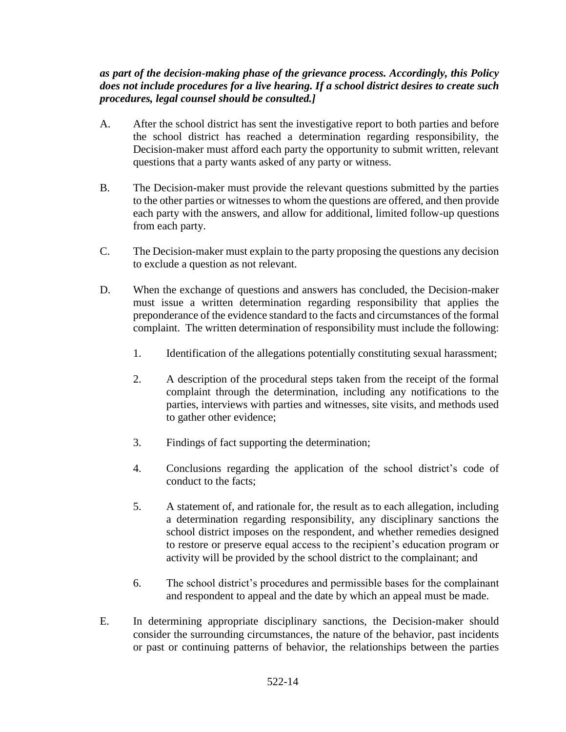### *as part of the decision-making phase of the grievance process. Accordingly, this Policy does not include procedures for a live hearing. If a school district desires to create such procedures, legal counsel should be consulted.]*

- A. After the school district has sent the investigative report to both parties and before the school district has reached a determination regarding responsibility, the Decision-maker must afford each party the opportunity to submit written, relevant questions that a party wants asked of any party or witness.
- B. The Decision-maker must provide the relevant questions submitted by the parties to the other parties or witnesses to whom the questions are offered, and then provide each party with the answers, and allow for additional, limited follow-up questions from each party.
- C. The Decision-maker must explain to the party proposing the questions any decision to exclude a question as not relevant.
- D. When the exchange of questions and answers has concluded, the Decision-maker must issue a written determination regarding responsibility that applies the preponderance of the evidence standard to the facts and circumstances of the formal complaint. The written determination of responsibility must include the following:
	- 1. Identification of the allegations potentially constituting sexual harassment;
	- 2. A description of the procedural steps taken from the receipt of the formal complaint through the determination, including any notifications to the parties, interviews with parties and witnesses, site visits, and methods used to gather other evidence;
	- 3. Findings of fact supporting the determination;
	- 4. Conclusions regarding the application of the school district's code of conduct to the facts;
	- 5. A statement of, and rationale for, the result as to each allegation, including a determination regarding responsibility, any disciplinary sanctions the school district imposes on the respondent, and whether remedies designed to restore or preserve equal access to the recipient's education program or activity will be provided by the school district to the complainant; and
	- 6. The school district's procedures and permissible bases for the complainant and respondent to appeal and the date by which an appeal must be made.
- E. In determining appropriate disciplinary sanctions, the Decision-maker should consider the surrounding circumstances, the nature of the behavior, past incidents or past or continuing patterns of behavior, the relationships between the parties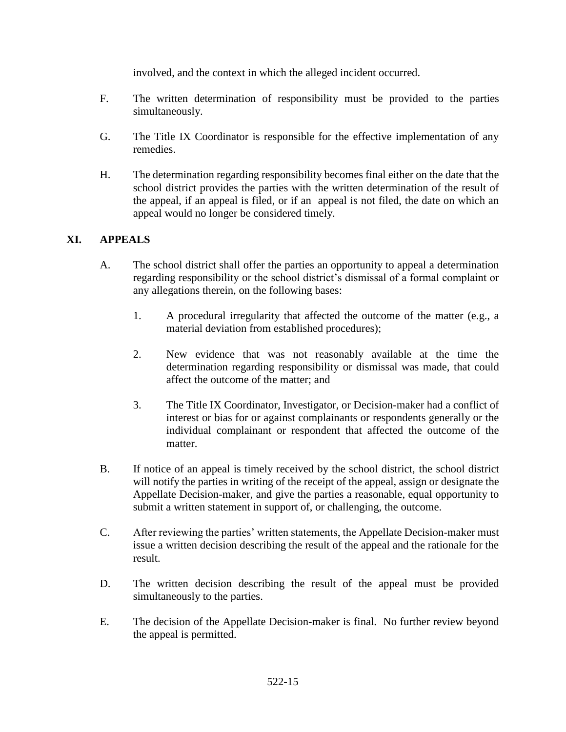involved, and the context in which the alleged incident occurred.

- F. The written determination of responsibility must be provided to the parties simultaneously.
- G. The Title IX Coordinator is responsible for the effective implementation of any remedies.
- H. The determination regarding responsibility becomes final either on the date that the school district provides the parties with the written determination of the result of the appeal, if an appeal is filed, or if an appeal is not filed, the date on which an appeal would no longer be considered timely.

### **XI. APPEALS**

- A. The school district shall offer the parties an opportunity to appeal a determination regarding responsibility or the school district's dismissal of a formal complaint or any allegations therein, on the following bases:
	- 1. A procedural irregularity that affected the outcome of the matter (e.g., a material deviation from established procedures);
	- 2. New evidence that was not reasonably available at the time the determination regarding responsibility or dismissal was made, that could affect the outcome of the matter; and
	- 3. The Title IX Coordinator, Investigator, or Decision-maker had a conflict of interest or bias for or against complainants or respondents generally or the individual complainant or respondent that affected the outcome of the matter.
- B. If notice of an appeal is timely received by the school district, the school district will notify the parties in writing of the receipt of the appeal, assign or designate the Appellate Decision-maker, and give the parties a reasonable, equal opportunity to submit a written statement in support of, or challenging, the outcome.
- C. After reviewing the parties' written statements, the Appellate Decision-maker must issue a written decision describing the result of the appeal and the rationale for the result.
- D. The written decision describing the result of the appeal must be provided simultaneously to the parties.
- E. The decision of the Appellate Decision-maker is final. No further review beyond the appeal is permitted.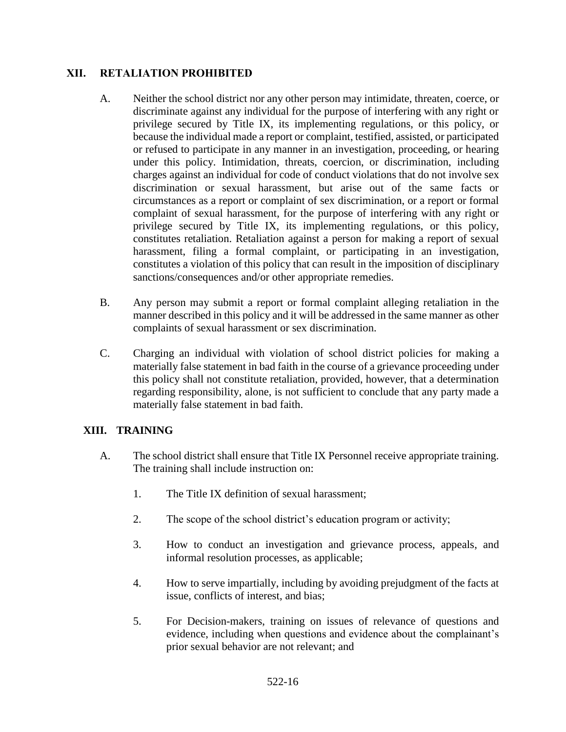### **XII. RETALIATION PROHIBITED**

- A. Neither the school district nor any other person may intimidate, threaten, coerce, or discriminate against any individual for the purpose of interfering with any right or privilege secured by Title IX, its implementing regulations, or this policy, or because the individual made a report or complaint, testified, assisted, or participated or refused to participate in any manner in an investigation, proceeding, or hearing under this policy. Intimidation, threats, coercion, or discrimination, including charges against an individual for code of conduct violations that do not involve sex discrimination or sexual harassment, but arise out of the same facts or circumstances as a report or complaint of sex discrimination, or a report or formal complaint of sexual harassment, for the purpose of interfering with any right or privilege secured by Title IX, its implementing regulations, or this policy, constitutes retaliation. Retaliation against a person for making a report of sexual harassment, filing a formal complaint, or participating in an investigation, constitutes a violation of this policy that can result in the imposition of disciplinary sanctions/consequences and/or other appropriate remedies.
- B. Any person may submit a report or formal complaint alleging retaliation in the manner described in this policy and it will be addressed in the same manner as other complaints of sexual harassment or sex discrimination.
- C. Charging an individual with violation of school district policies for making a materially false statement in bad faith in the course of a grievance proceeding under this policy shall not constitute retaliation, provided, however, that a determination regarding responsibility, alone, is not sufficient to conclude that any party made a materially false statement in bad faith.

### **XIII. TRAINING**

- A. The school district shall ensure that Title IX Personnel receive appropriate training. The training shall include instruction on:
	- 1. The Title IX definition of sexual harassment;
	- 2. The scope of the school district's education program or activity;
	- 3. How to conduct an investigation and grievance process, appeals, and informal resolution processes, as applicable;
	- 4. How to serve impartially, including by avoiding prejudgment of the facts at issue, conflicts of interest, and bias;
	- 5. For Decision-makers, training on issues of relevance of questions and evidence, including when questions and evidence about the complainant's prior sexual behavior are not relevant; and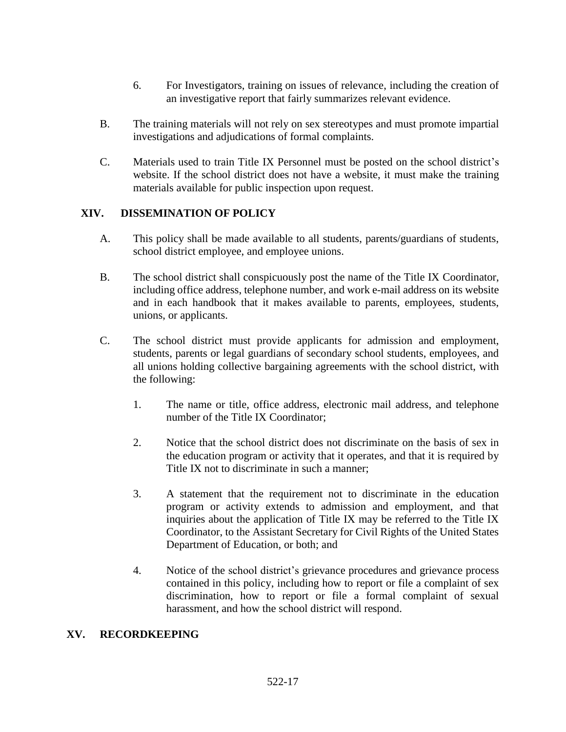- 6. For Investigators, training on issues of relevance, including the creation of an investigative report that fairly summarizes relevant evidence.
- B. The training materials will not rely on sex stereotypes and must promote impartial investigations and adjudications of formal complaints.
- C. Materials used to train Title IX Personnel must be posted on the school district's website. If the school district does not have a website, it must make the training materials available for public inspection upon request.

### **XIV. DISSEMINATION OF POLICY**

- A. This policy shall be made available to all students, parents/guardians of students, school district employee, and employee unions.
- B. The school district shall conspicuously post the name of the Title IX Coordinator, including office address, telephone number, and work e-mail address on its website and in each handbook that it makes available to parents, employees, students, unions, or applicants.
- C. The school district must provide applicants for admission and employment, students, parents or legal guardians of secondary school students, employees, and all unions holding collective bargaining agreements with the school district, with the following:
	- 1. The name or title, office address, electronic mail address, and telephone number of the Title IX Coordinator;
	- 2. Notice that the school district does not discriminate on the basis of sex in the education program or activity that it operates, and that it is required by Title IX not to discriminate in such a manner;
	- 3. A statement that the requirement not to discriminate in the education program or activity extends to admission and employment, and that inquiries about the application of Title IX may be referred to the Title IX Coordinator, to the Assistant Secretary for Civil Rights of the United States Department of Education, or both; and
	- 4. Notice of the school district's grievance procedures and grievance process contained in this policy, including how to report or file a complaint of sex discrimination, how to report or file a formal complaint of sexual harassment, and how the school district will respond.

#### **XV. RECORDKEEPING**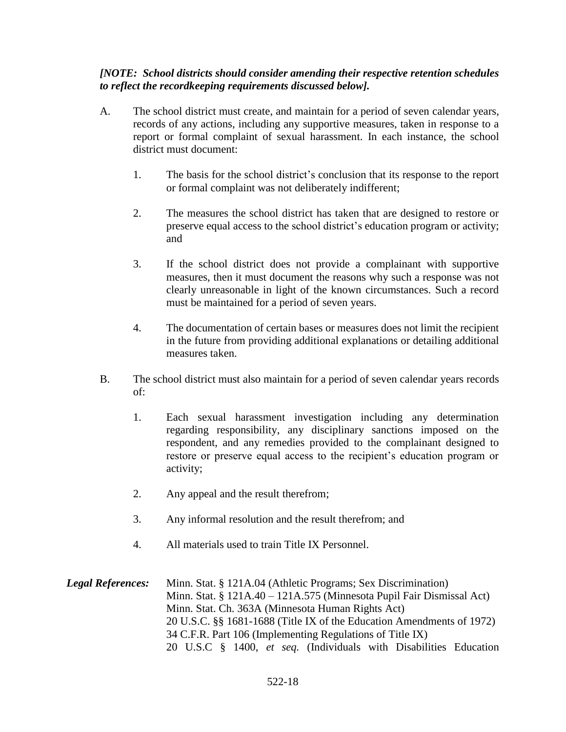#### *[NOTE: School districts should consider amending their respective retention schedules to reflect the recordkeeping requirements discussed below].*

- A. The school district must create, and maintain for a period of seven calendar years, records of any actions, including any supportive measures, taken in response to a report or formal complaint of sexual harassment. In each instance, the school district must document:
	- 1. The basis for the school district's conclusion that its response to the report or formal complaint was not deliberately indifferent;
	- 2. The measures the school district has taken that are designed to restore or preserve equal access to the school district's education program or activity; and
	- 3. If the school district does not provide a complainant with supportive measures, then it must document the reasons why such a response was not clearly unreasonable in light of the known circumstances. Such a record must be maintained for a period of seven years.
	- 4. The documentation of certain bases or measures does not limit the recipient in the future from providing additional explanations or detailing additional measures taken.
- B. The school district must also maintain for a period of seven calendar years records of:
	- 1. Each sexual harassment investigation including any determination regarding responsibility, any disciplinary sanctions imposed on the respondent, and any remedies provided to the complainant designed to restore or preserve equal access to the recipient's education program or activity;
	- 2. Any appeal and the result therefrom;
	- 3. Any informal resolution and the result therefrom; and
	- 4. All materials used to train Title IX Personnel.

*Legal References:* Minn. Stat. § 121A.04 (Athletic Programs; Sex Discrimination) Minn. Stat. § 121A.40 – 121A.575 (Minnesota Pupil Fair Dismissal Act) Minn. Stat. Ch. 363A (Minnesota Human Rights Act) 20 U.S.C. §§ 1681-1688 (Title IX of the Education Amendments of 1972) 34 C.F.R. Part 106 (Implementing Regulations of Title IX) 20 U.S.C § 1400, *et seq.* (Individuals with Disabilities Education